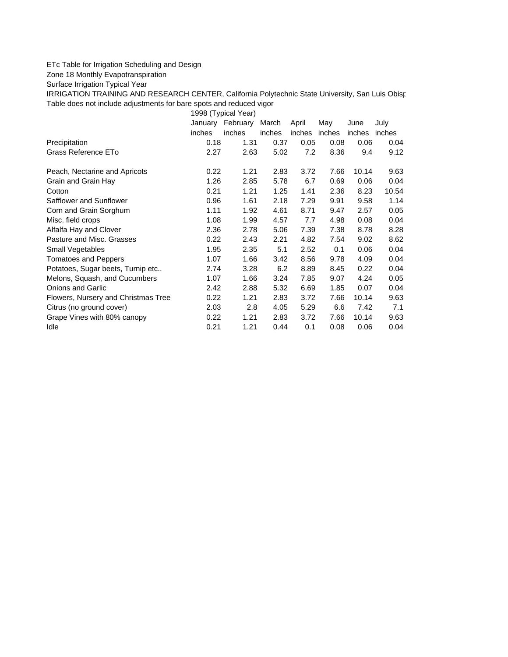## ETc Table for Irrigation Scheduling and Design

Zone 18 Monthly Evapotranspiration

Surface Irrigation Typical Year

IRRIGATION TRAINING AND RESEARCH CENTER, California Polytechnic State University, San Luis Obisp Table does not include adjustments for bare spots and reduced vigor

1998 (Typical Year)

|                                     | February<br>January |        | March<br>April |               | May  | June   | July   |
|-------------------------------------|---------------------|--------|----------------|---------------|------|--------|--------|
|                                     | inches              | inches | inches         | inches inches |      | inches | inches |
| Precipitation                       | 0.18                | 1.31   | 0.37           | 0.05          | 0.08 | 0.06   | 0.04   |
| Grass Reference ETo                 | 2.27                | 2.63   | 5.02           | 7.2           | 8.36 | 9.4    | 9.12   |
| Peach, Nectarine and Apricots       | 0.22                | 1.21   | 2.83           | 3.72          | 7.66 | 10.14  | 9.63   |
| Grain and Grain Hay                 | 1.26                | 2.85   | 5.78           | 6.7           | 0.69 | 0.06   | 0.04   |
| Cotton                              | 0.21                | 1.21   | 1.25           | 1.41          | 2.36 | 8.23   | 10.54  |
| Safflower and Sunflower             | 0.96                | 1.61   | 2.18           | 7.29          | 9.91 | 9.58   | 1.14   |
| Corn and Grain Sorghum              | 1.11                | 1.92   | 4.61           | 8.71          | 9.47 | 2.57   | 0.05   |
| Misc. field crops                   | 1.08                | 1.99   | 4.57           | 7.7           | 4.98 | 0.08   | 0.04   |
| Alfalfa Hay and Clover              | 2.36                | 2.78   | 5.06           | 7.39          | 7.38 | 8.78   | 8.28   |
| Pasture and Misc. Grasses           | 0.22                | 2.43   | 2.21           | 4.82          | 7.54 | 9.02   | 8.62   |
| Small Vegetables                    | 1.95                | 2.35   | 5.1            | 2.52          | 0.1  | 0.06   | 0.04   |
| <b>Tomatoes and Peppers</b>         | 1.07                | 1.66   | 3.42           | 8.56          | 9.78 | 4.09   | 0.04   |
| Potatoes, Sugar beets, Turnip etc   | 2.74                | 3.28   | 6.2            | 8.89          | 8.45 | 0.22   | 0.04   |
| Melons, Squash, and Cucumbers       | 1.07                | 1.66   | 3.24           | 7.85          | 9.07 | 4.24   | 0.05   |
| <b>Onions and Garlic</b>            | 2.42                | 2.88   | 5.32           | 6.69          | 1.85 | 0.07   | 0.04   |
| Flowers, Nursery and Christmas Tree | 0.22                | 1.21   | 2.83           | 3.72          | 7.66 | 10.14  | 9.63   |
| Citrus (no ground cover)            | 2.03                | 2.8    | 4.05           | 5.29          | 6.6  | 7.42   | 7.1    |
| Grape Vines with 80% canopy         | 0.22                | 1.21   | 2.83           | 3.72          | 7.66 | 10.14  | 9.63   |
| Idle                                | 0.21                | 1.21   | 0.44           | 0.1           | 0.08 | 0.06   | 0.04   |